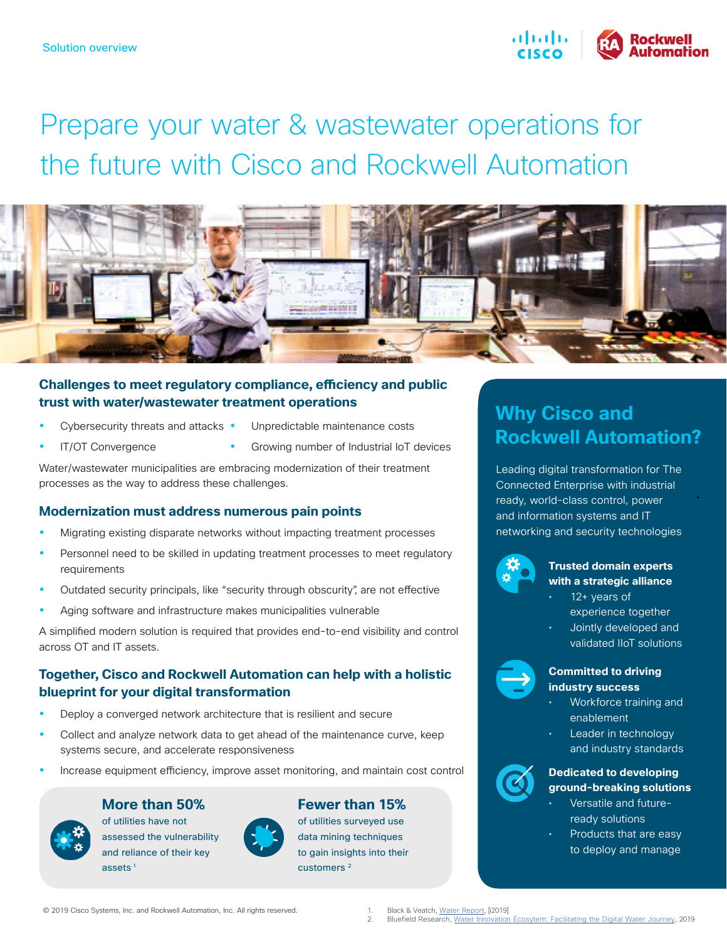

# Prepare your water & wastewater operations for the future with Cisco and Rockwell Automation



#### **Challenges to meet regulatory compliance, efficiency and public trust with water/wastewater treatment operations**

- Cybersecurity threats and attacks •
- Unpredictable maintenance costs
- IT/OT Convergence
- Growing number of Industrial IoT devices

Water/wastewater municipalities are embracing modernization of their treatment processes as the way to address these challenges.

#### **Modernization must address numerous pain points**

- Migrating existing disparate networks without impacting treatment processes
- Personnel need to be skilled in updating treatment processes to meet regulatory requirements
- Outdated security principals, like "security through obscurity", are not effective
- Aging software and infrastructure makes municipalities vulnerable

A simplified modern solution is required that provides end-to-end visibility and control across OT and IT assets.

### **Together, Cisco and Rockwell Automation can help with a holistic blueprint for your digital transformation**

- Deploy a converged network architecture that is resilient and secure
- Collect and analyze network data to get ahead of the maintenance curve, keep systems secure, and accelerate responsiveness
- Increase equipment efficiency, improve asset monitoring, and maintain cost control

#### **More than 50%**



of utilities have not assessed the vulnerability and reliance of their key assets<sup>1</sup>



### **Fewer than 15%**

of utilities surveyed use data mining techniques to gain insights into their

customers<sup>2</sup>

# **Why Cisco and Rockwell Automation?**

Leading digital transformation for The Connected Enterprise with industrial ready, world-class control, power and information systems and IT networking and security technologies



#### **Trusted domain experts with a strategic alliance**

•

- 12+ years of experience together
- Jointly developed and validated IIoT solutions



#### **Committed to driving industry success**

- Workforce training and enablement
- Leader in technology and industry standards



#### **Dedicated to developing ground-breaking solutions**

- Versatile and futureready solutions
- Products that are easy to deploy and manage

© 2019 Cisco Systems, Inc. and Rockwell Automation, Inc. All rights reserved.

1. Black & Veatch, <u>[Water Report](https://pages.bv.com/rs/916-IZV-611/images/SDR_Water_2019.pdf),</u> [i2019]<br>2. Bluefield Research, <u>Water [Innovation Ecosytem: Facilitating the Digital Water Journey](https://www.bluefieldresearch.com/research/water-innovation-ecosystems-digital-water/),</u> 2019